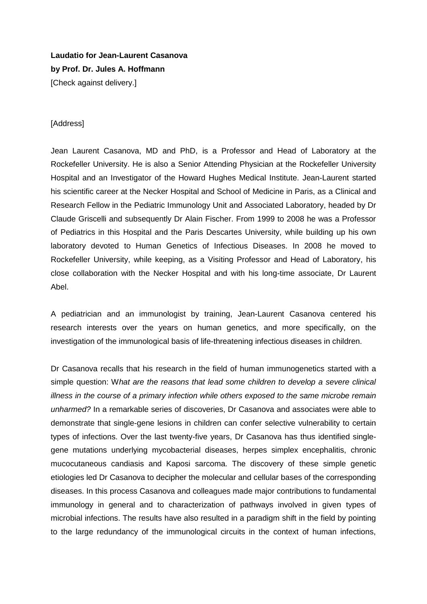**Laudatio for Jean-Laurent Casanova by Prof. Dr. Jules A. Hoffmann** [Check against delivery.]

## [Address]

Jean Laurent Casanova, MD and PhD, is a Professor and Head of Laboratory at the Rockefeller University. He is also a Senior Attending Physician at the Rockefeller University Hospital and an Investigator of the Howard Hughes Medical Institute. Jean-Laurent started his scientific career at the Necker Hospital and School of Medicine in Paris, as a Clinical and Research Fellow in the Pediatric Immunology Unit and Associated Laboratory, headed by Dr Claude Griscelli and subsequently Dr Alain Fischer. From 1999 to 2008 he was a Professor of Pediatrics in this Hospital and the Paris Descartes University, while building up his own laboratory devoted to Human Genetics of Infectious Diseases. In 2008 he moved to Rockefeller University, while keeping, as a Visiting Professor and Head of Laboratory, his close collaboration with the Necker Hospital and with his long-time associate, Dr Laurent Abel.

A pediatrician and an immunologist by training, Jean-Laurent Casanova centered his research interests over the years on human genetics, and more specifically, on the investigation of the immunological basis of life-threatening infectious diseases in children.

Dr Casanova recalls that his research in the field of human immunogenetics started with a simple question: W*hat are the reasons that lead some children to develop a severe clinical illness in the course of a primary infection while others exposed to the same microbe remain unharmed?* In a remarkable series of discoveries, Dr Casanova and associates were able to demonstrate that single-gene lesions in children can confer selective vulnerability to certain types of infections. Over the last twenty-five years, Dr Casanova has thus identified singlegene mutations underlying mycobacterial diseases, herpes simplex encephalitis, chronic mucocutaneous candiasis and Kaposi sarcoma. The discovery of these simple genetic etiologies led Dr Casanova to decipher the molecular and cellular bases of the corresponding diseases. In this process Casanova and colleagues made major contributions to fundamental immunology in general and to characterization of pathways involved in given types of microbial infections. The results have also resulted in a paradigm shift in the field by pointing to the large redundancy of the immunological circuits in the context of human infections,